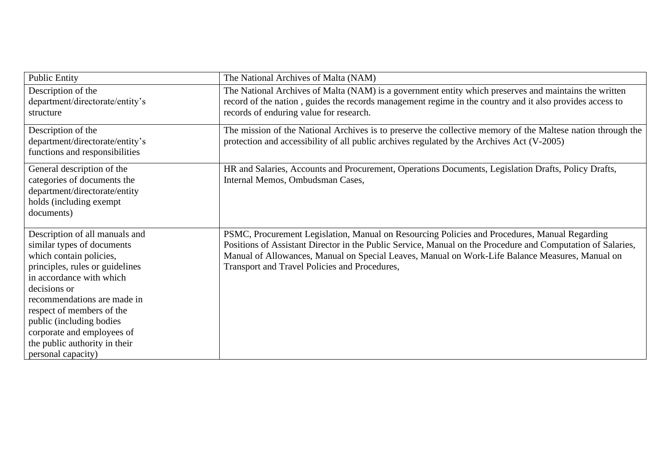| <b>Public Entity</b>            | The National Archives of Malta (NAM)                                                                        |
|---------------------------------|-------------------------------------------------------------------------------------------------------------|
| Description of the              | The National Archives of Malta (NAM) is a government entity which preserves and maintains the written       |
| department/directorate/entity's | record of the nation, guides the records management regime in the country and it also provides access to    |
| structure                       | records of enduring value for research.                                                                     |
| Description of the              | The mission of the National Archives is to preserve the collective memory of the Maltese nation through the |
| department/directorate/entity's | protection and accessibility of all public archives regulated by the Archives Act (V-2005)                  |
| functions and responsibilities  |                                                                                                             |
| General description of the      | HR and Salaries, Accounts and Procurement, Operations Documents, Legislation Drafts, Policy Drafts,         |
| categories of documents the     | Internal Memos, Ombudsman Cases,                                                                            |
| department/directorate/entity   |                                                                                                             |
| holds (including exempt         |                                                                                                             |
| documents)                      |                                                                                                             |
| Description of all manuals and  | PSMC, Procurement Legislation, Manual on Resourcing Policies and Procedures, Manual Regarding               |
| similar types of documents      | Positions of Assistant Director in the Public Service, Manual on the Procedure and Computation of Salaries, |
| which contain policies,         | Manual of Allowances, Manual on Special Leaves, Manual on Work-Life Balance Measures, Manual on             |
| principles, rules or guidelines | Transport and Travel Policies and Procedures,                                                               |
| in accordance with which        |                                                                                                             |
| decisions or                    |                                                                                                             |
| recommendations are made in     |                                                                                                             |
| respect of members of the       |                                                                                                             |
| public (including bodies        |                                                                                                             |
| corporate and employees of      |                                                                                                             |
| the public authority in their   |                                                                                                             |
| personal capacity)              |                                                                                                             |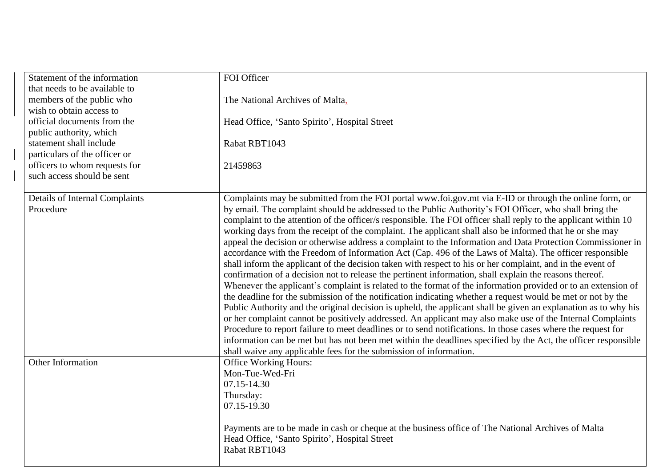| Statement of the information                                | FOI Officer                                                                                                     |
|-------------------------------------------------------------|-----------------------------------------------------------------------------------------------------------------|
| that needs to be available to                               |                                                                                                                 |
| members of the public who                                   | The National Archives of Malta,                                                                                 |
| wish to obtain access to                                    |                                                                                                                 |
| official documents from the                                 | Head Office, 'Santo Spirito', Hospital Street                                                                   |
| public authority, which                                     |                                                                                                                 |
| statement shall include                                     | Rabat RBT1043                                                                                                   |
| particulars of the officer or                               |                                                                                                                 |
|                                                             | 21459863                                                                                                        |
| officers to whom requests for<br>such access should be sent |                                                                                                                 |
|                                                             |                                                                                                                 |
| Details of Internal Complaints                              | Complaints may be submitted from the FOI portal www.foi.gov.mt via E-ID or through the online form, or          |
| Procedure                                                   | by email. The complaint should be addressed to the Public Authority's FOI Officer, who shall bring the          |
|                                                             | complaint to the attention of the officer/s responsible. The FOI officer shall reply to the applicant within 10 |
|                                                             | working days from the receipt of the complaint. The applicant shall also be informed that he or she may         |
|                                                             | appeal the decision or otherwise address a complaint to the Information and Data Protection Commissioner in     |
|                                                             | accordance with the Freedom of Information Act (Cap. 496 of the Laws of Malta). The officer responsible         |
|                                                             | shall inform the applicant of the decision taken with respect to his or her complaint, and in the event of      |
|                                                             | confirmation of a decision not to release the pertinent information, shall explain the reasons thereof.         |
|                                                             | Whenever the applicant's complaint is related to the format of the information provided or to an extension of   |
|                                                             | the deadline for the submission of the notification indicating whether a request would be met or not by the     |
|                                                             | Public Authority and the original decision is upheld, the applicant shall be given an explanation as to why his |
|                                                             | or her complaint cannot be positively addressed. An applicant may also make use of the Internal Complaints      |
|                                                             | Procedure to report failure to meet deadlines or to send notifications. In those cases where the request for    |
|                                                             | information can be met but has not been met within the deadlines specified by the Act, the officer responsible  |
|                                                             | shall waive any applicable fees for the submission of information.                                              |
| Other Information                                           | <b>Office Working Hours:</b>                                                                                    |
|                                                             | Mon-Tue-Wed-Fri                                                                                                 |
|                                                             | 07.15-14.30                                                                                                     |
|                                                             | Thursday:                                                                                                       |
|                                                             | 07.15-19.30                                                                                                     |
|                                                             |                                                                                                                 |
|                                                             | Payments are to be made in cash or cheque at the business office of The National Archives of Malta              |
|                                                             | Head Office, 'Santo Spirito', Hospital Street                                                                   |
|                                                             | Rabat RBT1043                                                                                                   |